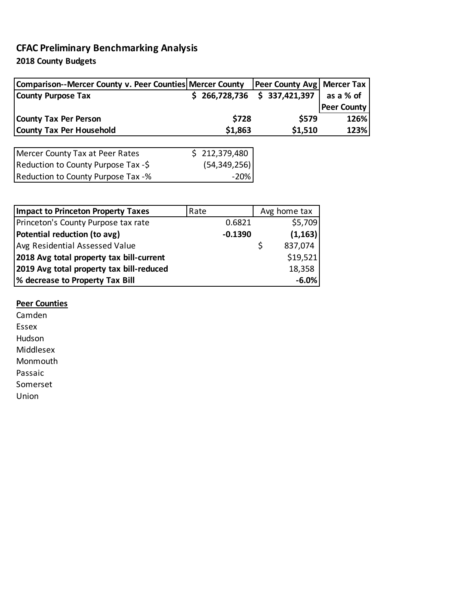## **CFAC Preliminary Benchmarking Analysis**

**2018 County Budgets**

| Comparison--Mercer County v. Peer Counties Mercer County |               | <b>Peer County Avg   Mercer Tax</b> |                    |
|----------------------------------------------------------|---------------|-------------------------------------|--------------------|
| <b>County Purpose Tax</b>                                | \$266,728,736 | \$337,421,397                       | as a % of          |
|                                                          |               |                                     | <b>Peer County</b> |
| <b>County Tax Per Person</b>                             | \$728         | \$579                               | 126%               |
| <b>County Tax Per Household</b>                          | \$1,863       | \$1,510                             | 123%               |
|                                                          |               |                                     |                    |

| Mercer County Tax at Peer Rates     | \$212,379,480  |
|-------------------------------------|----------------|
| Reduction to County Purpose Tax -\$ | (54, 349, 256) |
| Reduction to County Purpose Tax -%  | -20%           |

| <b>Impact to Princeton Property Taxes</b> | Rate |           | Avg home tax |          |  |
|-------------------------------------------|------|-----------|--------------|----------|--|
| Princeton's County Purpose tax rate       |      | 0.6821    |              | \$5,709  |  |
| Potential reduction (to avg)              |      | $-0.1390$ |              | (1, 163) |  |
| Avg Residential Assessed Value            |      |           | S            | 837,074  |  |
| 2018 Avg total property tax bill-current  |      |           |              | \$19,521 |  |
| 2019 Avg total property tax bill-reduced  |      |           |              | 18,358   |  |
| % decrease to Property Tax Bill           |      |           |              | $-6.0%$  |  |

## **Peer Counties**

Camden

Essex Hudson

Middlesex

Monmouth

Passaic

Somerset

Union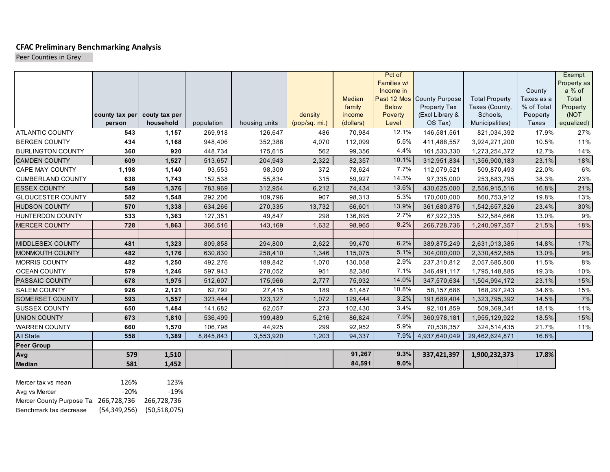## **CFAC Preliminary Benchmarking Analysis**

Peer Counties in Grey

|                          |                |               |            |               |               |                  | Pct of       |                                 |                            |                          | Exempt           |
|--------------------------|----------------|---------------|------------|---------------|---------------|------------------|--------------|---------------------------------|----------------------------|--------------------------|------------------|
|                          |                |               |            |               |               |                  | Families w/  |                                 |                            |                          | Property as      |
|                          |                |               |            |               |               |                  | Income in    |                                 |                            | County                   | a % of           |
|                          |                |               |            |               |               | Median           | <b>Below</b> | Past 12 Mos County Purpose      | <b>Total Property</b>      | Taxes as a<br>% of Total | Total            |
|                          | county tax per | couty tax per |            |               | density       | family<br>income | Poverty      | Property Tax<br>(Excl Library & | Taxes (County,<br>Schools, | Peoperty                 | Property<br>(NOT |
|                          | person         | household     | population | housing units | (pop/sq. mi.) | (dollars)        | Level        | OS Tax)                         | Municipalities)            | Taxes                    | equalized)       |
| <b>ATLANTIC COUNTY</b>   | 543            | 1,157         | 269,918    | 126,647       | 486           | 70,984           | 12.1%        | 146,581,561                     | 821,034,392                | 17.9%                    | 27%              |
| <b>BERGEN COUNTY</b>     | 434            | 1,168         | 948,406    | 352,388       | 4,070         | 112,099          | 5.5%         | 411,488,557                     | 3,924,271,200              | 10.5%                    | 11%              |
| <b>BURLINGTON COUNTY</b> | 360            | 920           | 448,734    | 175,615       | 562           | 99,356           | 4.4%         | 161,533,330                     | 1,273,254,372              | 12.7%                    | 14%              |
| <b>CAMDEN COUNTY</b>     | 609            | 1,527         | 513,657    | 204,943       | 2,322         | 82,357           | 10.1%        | 312,951,834                     | 1,356,900,183              | 23.1%                    | 18%              |
| CAPE MAY COUNTY          | 1,198          | 1,140         | 93,553     | 98,309        | 372           | 78,624           | 7.7%         | 112,079,521                     | 509,870,493                | 22.0%                    | 6%               |
| <b>CUMBERLAND COUNTY</b> | 638            | 1,743         | 152,538    | 55,834        | 315           | 59,927           | 14.3%        | 97,335,000                      | 253,883,795                | 38.3%                    | 23%              |
| <b>ESSEX COUNTY</b>      | 549            | 1,376         | 783,969    | 312,954       | 6,212         | 74,434           | 13.6%        | 430,625,000                     | 2,556,915,516              | 16.8%                    | 21%              |
| <b>GLOUCESTER COUNTY</b> | 582            | 1,548         | 292,206    | 109,796       | 907           | 98,313           | 5.3%         | 170,000,000                     | 860,753,912                | 19.8%                    | 13%              |
| <b>HUDSON COUNTY</b>     | 570            | 1,338         | 634,266    | 270,335       | 13,732        | 66,601           | 13.9%        | 361,680,876                     | 1,542,657,826              | 23.4%                    | $30\%$           |
| <b>HUNTERDON COUNTY</b>  | 533            | 1,363         | 127,351    | 49,847        | 298           | 136,895          | 2.7%         | 67,922,335                      | 522,584,666                | 13.0%                    | 9%               |
| <b>MERCER COUNTY</b>     | 728            | 1,863         | 366,516    | 143,169       | 1,632         | 98,965           | 8.2%         | 266,728,736                     | 1,240,097,357              | 21.5%                    | 18%              |
|                          |                |               |            |               |               |                  |              |                                 |                            |                          |                  |
| <b>MIDDLESEX COUNTY</b>  | 481            | 1,323         | 809,858    | 294,800       | 2,622         | 99,470           | 6.2%         | 389,875,249                     | 2,631,013,385              | 14.8%                    | 17%              |
| <b>MONMOUTH COUNTY</b>   | 482            | 1,176         | 630,830    | 258,410       | 1,346         | 115,075          | 5.1%         | 304,000,000                     | 2,330,452,585              | 13.0%                    | $9%$             |
| <b>MORRIS COUNTY</b>     | 482            | 1,250         | 492,276    | 189,842       | 1,070         | 130,058          | 2.9%         | 237,310,812                     | 2,057,685,800              | 11.5%                    | 8%               |
| <b>OCEAN COUNTY</b>      | 579            | 1,246         | 597,943    | 278,052       | 951           | 82,380           | 7.1%         | 346,491,117                     | 1,795,148,885              | 19.3%                    | 10%              |
| PASSAIC COUNTY           | 678            | 1,975         | 512,607    | 175,966       | 2,777         | 75,932           | 14.0%        | 347,570,634                     | 1,504,994,172              | 23.1%                    | 15%              |
| <b>SALEM COUNTY</b>      | 926            | 2,121         | 62,792     | 27,415        | 189           | 81,487           | 10.8%        | 58,157,686                      | 168,297,243                | 34.6%                    | 15%              |
| <b>SOMERSET COUNTY</b>   | 593            | 1,557         | 323,444    | 123,127       | 1,072         | 129,444          | 3.2%         | 191,689,404                     | 1,323,795,392              | 14.5%                    | $7\%$            |
| <b>SUSSEX COUNTY</b>     | 650            | 1,484         | 141,682    | 62,057        | 273           | 102,430          | 3.4%         | 92,101,859                      | 509,369,341                | 18.1%                    | 11%              |
| <b>UNION COUNTY</b>      | 673            | 1,810         | 536,499    | 199,489       | 5,216         | 86,824           | 7.9%         | 360,978,181                     | 1,955,129,922              | 18.5%                    | 15%              |
| <b>WARREN COUNTY</b>     | 660            | 1,570         | 106,798    | 44,925        | 299           | 92,952           | 5.9%         | 70,538,357                      | 324,514,435                | 21.7%                    | 11%              |
| <b>All State</b>         | 558            | 1,389         | 8,845,843  | 3,553,920     | 1,203         | 94,337           | 7.9%         | 4,937,640,049                   | 29,462,624,871             | 16.8%                    |                  |
| <b>Peer Group</b>        |                |               |            |               |               |                  |              |                                 |                            |                          |                  |
| Avg                      | 579            | 1,510         |            |               |               | 91,267           | 9.3%         | 337,421,397                     | 1,900,232,373              | 17.8%                    |                  |
| Median                   | 581            | 1,452         |            |               |               | 84,591           | 9.0%         |                                 |                            |                          |                  |
|                          |                |               |            |               |               |                  |              |                                 |                            |                          |                  |
| Mercer tax vs mean       | 126%           | 123%          |            |               |               |                  |              |                                 |                            |                          |                  |

| Mercer tax vs mean                   | 126%           | 123%         |
|--------------------------------------|----------------|--------------|
| Avg vs Mercer                        | -20%           | $-19%$       |
| Mercer County Purpose Ta 266,728,736 |                | 266.728.736  |
| Benchmark tax decrease               | (54, 349, 256) | (50,518,075) |